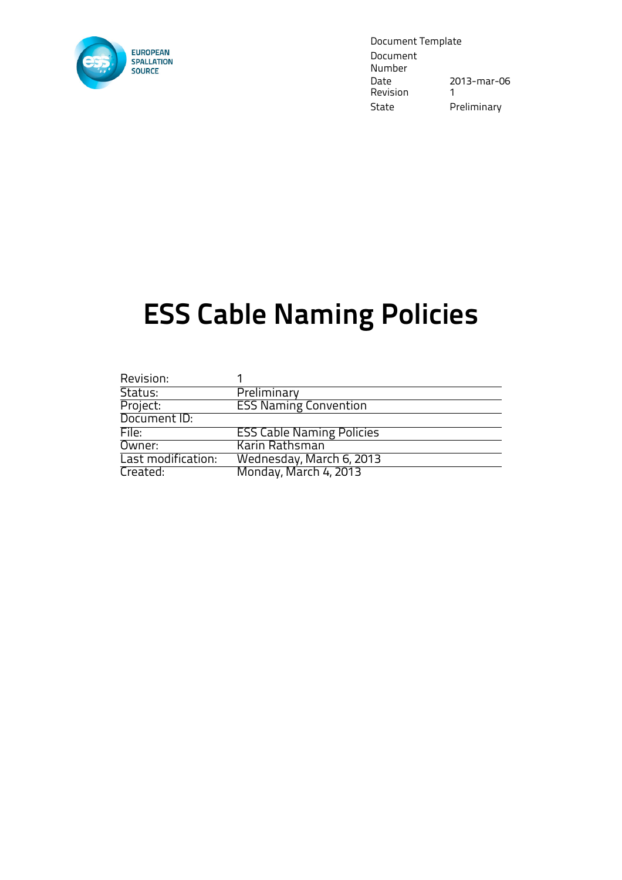

Document Template Document Number<br>Date 2013-mar-06 Revision 1 State Preliminary

# ESS Cable Naming Policies

| Revision:          |                                  |
|--------------------|----------------------------------|
| Status:            | Preliminary                      |
| Project:           | <b>ESS Naming Convention</b>     |
| Document ID:       |                                  |
| File:              | <b>ESS Cable Naming Policies</b> |
| Owner:             | Karin Rathsman                   |
| Last modification: | Wednesday, March 6, 2013         |
| Created:           | Monday, March 4, 2013            |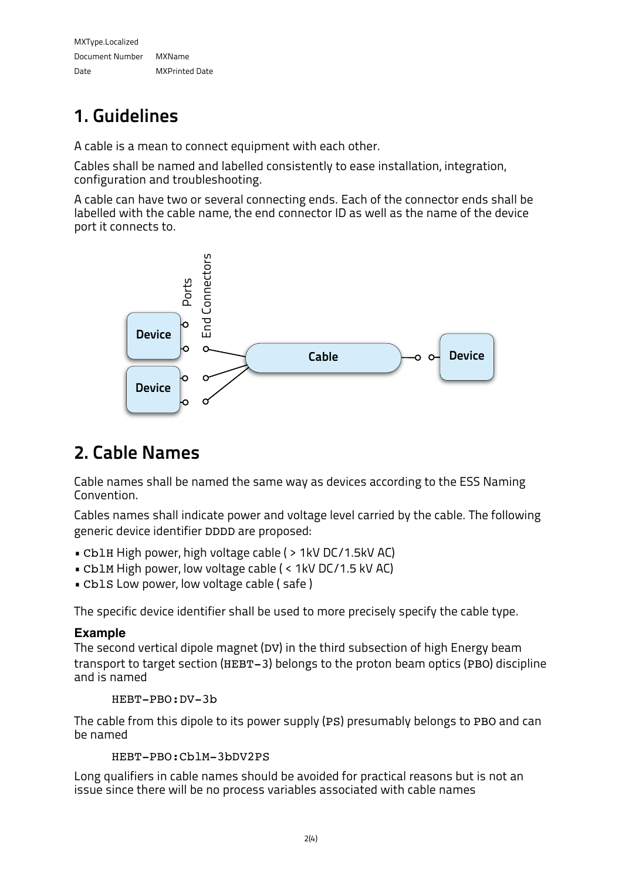MXType.Localized Document Number MXName Date MXPrinted Date

# 1. Guidelines

A cable is a mean to connect equipment with each other.

Cables shall be named and labelled consistently to ease installation, integration, configuration and troubleshooting.

A cable can have two or several connecting ends. Each of the connector ends shall be labelled with the cable name, the end connector ID as well as the name of the device port it connects to.



## 2. Cable Names

Cable names shall be named the same way as devices according to the ESS Naming Convention.

Cables names shall indicate power and voltage level carried by the cable. The following generic device identifier DDDD are proposed:

- CblH High power, high voltage cable ( > 1kV DC/1.5kV AC)
- CblM High power, low voltage cable ( < 1kV DC/1.5 kV AC)
- CblS Low power, low voltage cable ( safe )

The specific device identifier shall be used to more precisely specify the cable type.

### **Example**

The second vertical dipole magnet (DV) in the third subsection of high Energy beam transport to target section (HEBT-3) belongs to the proton beam optics (PBO) discipline and is named

HEBT-PBO:DV-3b

The cable from this dipole to its power supply (PS) presumably belongs to PBO and can be named

```
HEBT-PBO:CblM-3bDV2PS
```
Long qualifiers in cable names should be avoided for practical reasons but is not an issue since there will be no process variables associated with cable names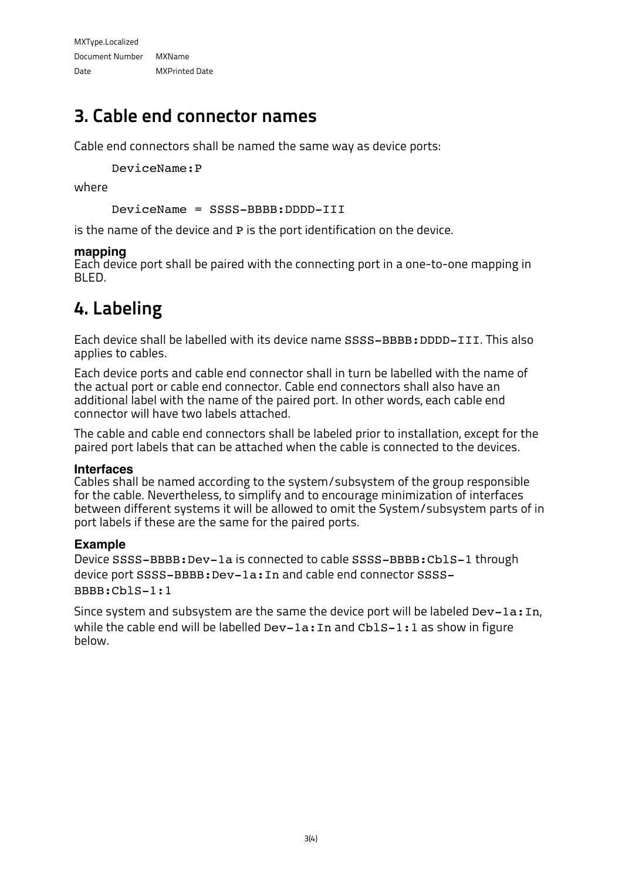### 3. Cable end connector names

Cable end connectors shall be named the same way as device ports:

DeviceName:P

where

```
DeviceName = SSSS-BBBB:DDDD-III
```
is the name of the device and P is the port identification on the device.

#### **mapping**

Each device port shall be paired with the connecting port in a one-to-one mapping in BLED.

### 4. Labeling

Each device shall be labelled with its device name SSSS-BBBB:DDDD-III. This also applies to cables.

Each device ports and cable end connector shall in turn be labelled with the name of the actual port or cable end connector. Cable end connectors shall also have an additional label with the name of the paired port. In other words, each cable end connector will have two labels attached.

The cable and cable end connectors shall be labeled prior to installation, except for the paired port labels that can be attached when the cable is connected to the devices.

#### **Interfaces**

Cables shall be named according to the system/subsystem of the group responsible for the cable. Nevertheless, to simplify and to encourage minimization of interfaces between different systems it will be allowed to omit the System/subsystem parts of in port labels if these are the same for the paired ports.

### **Example**

Device SSSS-BBBB:Dev-1a is connected to cable SSSS-BBBB:CblS-1 through device port SSSS-BBBB: Dev-1a: In and cable end connector SSSS-BBBB:CblS-1:1

Since system and subsystem are the same the device port will be labeled Dev-1a: In, while the cable end will be labelled Dev-1a: In and Cb1S-1: 1 as show in figure below.